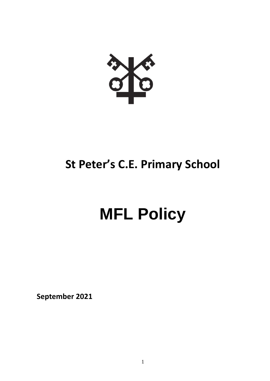

# **St Peter's C.E. Primary School**

# **MFL Policy**

**September 2021**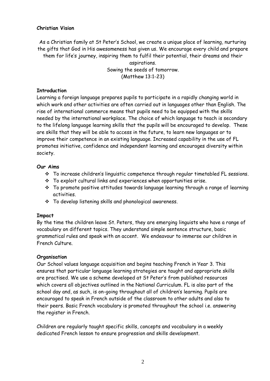#### **Christian Vision**

As a Christian family at St Peter's School, we create a unique place of learning, nurturing the gifts that God in His awesomeness has given us. We encourage every child and prepare them for life's journey, inspiring them to fulfil their potential, their dreams and their aspirations.

Sowing the seeds of tomorrow. (Matthew 13:1-23)

#### **Introduction**

Learning a foreign language prepares pupils to participate in a rapidly changing world in which work and other activities are often carried out in languages other than English. The rise of international commerce means that pupils need to be equipped with the skills needed by the international workplace. The choice of which language to teach is secondary to the lifelong language learning skills that the pupils will be encouraged to develop. These are skills that they will be able to access in the future, to learn new languages or to improve their competence in an existing language. Increased capability in the use of FL promotes initiative, confidence and independent learning and encourages diversity within society.

#### **Our Aims**

- To increase children's linguistic competence through regular timetabled FL sessions.
- To exploit cultural links and experiences when opportunities arise.
- To promote positive attitudes towards language learning through a range of learning activities.
- To develop listening skills and phonological awareness.

#### **Impact**

By the time the children leave St. Peters, they are emerging linguists who have a range of vocabulary on different topics. They understand simple sentence structure, basic grammatical rules and speak with an accent. We endeavour to immerse our children in French Culture.

## **Organisation**

Our School values language acquisition and begins teaching French in Year 3. This ensures that particular language learning strategies are taught and appropriate skills are practised. We use a scheme developed at St Peter's from published resources which covers all objectives outlined in the National Curriculum. FL is also part of the school day and, as such, is on-going throughout all of children's learning. Pupils are encouraged to speak in French outside of the classroom to other adults and also to their peers. Basic French vocabulary is promoted throughout the school i.e. answering the register in French.

Children are regularly taught specific skills, concepts and vocabulary in a weekly dedicated French lesson to ensure progression and skills development.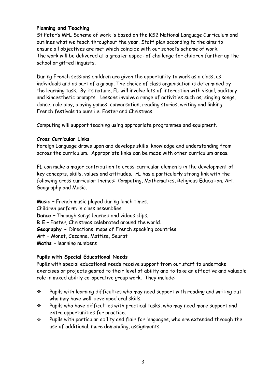#### **Planning and Teaching**

St Peter's MFL Scheme of work is based on the KS2 National Language Curriculum and outlines what we teach throughout the year. Staff plan according to the aims to ensure all objectives are met which coincide with our school's scheme of work. The work will be delivered at a greater aspect of challenge for children further up the school or gifted linguists.

During French sessions children are given the opportunity to work as a class, as individuals and as part of a group. The choice of class organisation is determined by the learning task. By its nature, FL will involve lots of interaction with visual, auditory and kinaesthetic prompts. Lessons involve a range of activities such as; singing songs, dance, role play, playing games, conversation, reading stories, writing and linking French festivals to ours i.e. Faster and Christmas.

Computing will support teaching using appropriate programmes and equipment.

#### **Cross Curricular Links**

Foreign Language draws upon and develops skills, knowledge and understanding from across the curriculum. Appropriate links can be made with other curriculum areas.

FL can make a major contribution to cross-curricular elements in the development of key concepts, skills, values and attitudes. FL has a particularly strong link with the following cross curricular themes: Computing, Mathematics, Religious Education, Art, Geography and Music.

**Music –** French music played during lunch times. Children perform in class assemblies. **Dance –** Through songs learned and videos clips. **R.E –** Easter, Christmas celebrated around the world. **Geography -** Directions, maps of French speaking countries. **Art –** Monet, Cezanne, Mattise, Seurat **Maths –** learning numbers

## **Pupils with Special Educational Needs**

Pupils with special educational needs receive support from our staff to undertake exercises or projects geared to their level of ability and to take an effective and valuable role in mixed ability co-operative group work. They include:

- Pupils with learning difficulties who may need support with reading and writing but who may have well-developed oral skills.
- Pupils who have difficulties with practical tasks, who may need more support and extra opportunities for practice.
- Pupils with particular ability and flair for languages, who are extended through the use of additional, more demanding, assignments.